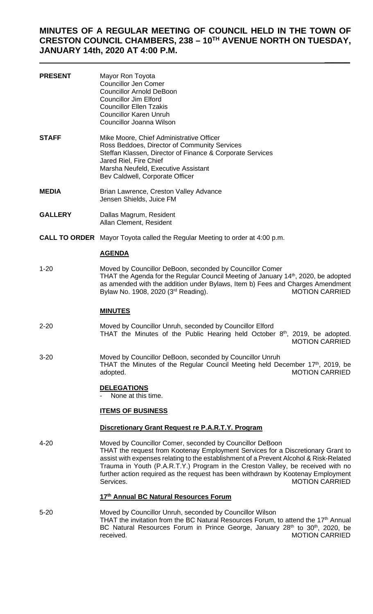# **MINUTES OF A REGULAR MEETING OF COUNCIL HELD IN THE TOWN OF CRESTON COUNCIL CHAMBERS, 238 – 10TH AVENUE NORTH ON TUESDAY, JANUARY 14th, 2020 AT 4:00 P.M.**

 $\frac{1}{2}$ 

| <b>PRESENT</b> | Mayor Ron Toyota<br><b>Councillor Jen Comer</b><br><b>Councillor Arnold DeBoon</b><br><b>Councillor Jim Elford</b><br><b>Councillor Ellen Tzakis</b><br><b>Councillor Karen Unruh</b><br>Councillor Joanna Wilson                                                                                                       |  |  |  |  |
|----------------|-------------------------------------------------------------------------------------------------------------------------------------------------------------------------------------------------------------------------------------------------------------------------------------------------------------------------|--|--|--|--|
| <b>STAFF</b>   | Mike Moore, Chief Administrative Officer<br>Ross Beddoes, Director of Community Services<br>Steffan Klassen, Director of Finance & Corporate Services<br>Jared Riel, Fire Chief<br>Marsha Neufeld, Executive Assistant<br>Bev Caldwell, Corporate Officer                                                               |  |  |  |  |
| <b>MEDIA</b>   | Brian Lawrence, Creston Valley Advance<br>Jensen Shields, Juice FM                                                                                                                                                                                                                                                      |  |  |  |  |
| <b>GALLERY</b> | Dallas Magrum, Resident<br>Allan Clement, Resident                                                                                                                                                                                                                                                                      |  |  |  |  |
|                | <b>CALL TO ORDER</b> Mayor Toyota called the Regular Meeting to order at 4:00 p.m.                                                                                                                                                                                                                                      |  |  |  |  |
|                | <b>AGENDA</b>                                                                                                                                                                                                                                                                                                           |  |  |  |  |
| $1 - 20$       | Moved by Councillor DeBoon, seconded by Councillor Comer<br>THAT the Agenda for the Regular Council Meeting of January 14 <sup>th</sup> , 2020, be adopted<br>as amended with the addition under Bylaws, Item b) Fees and Charges Amendment<br>Bylaw No. 1908, 2020 (3 <sup>rd</sup> Reading).<br><b>MOTION CARRIED</b> |  |  |  |  |
|                | <b>MINUTES</b>                                                                                                                                                                                                                                                                                                          |  |  |  |  |
| $2 - 20$       | Moved by Councillor Unruh, seconded by Councillor Elford<br>$\mathsf{A}^{\mathsf{th}}$ $\mathsf{A}\mathsf{A}\mathsf{A}$                                                                                                                                                                                                 |  |  |  |  |

THAT the Minutes of the Public Hearing held October  $8<sup>th</sup>$ , 2019, be adopted. MOTION CARRIED

3-20 Moved by Councillor DeBoon, seconded by Councillor Unruh THAT the Minutes of the Regular Council Meeting held December 17<sup>th</sup>, 2019, be adopted. **MOTION CARRIED** 

## **DELEGATIONS**

None at this time.

## **ITEMS OF BUSINESS**

## **Discretionary Grant Request re P.A.R.T.Y. Program**

4-20 Moved by Councillor Comer, seconded by Councillor DeBoon THAT the request from Kootenay Employment Services for a Discretionary Grant to assist with expenses relating to the establishment of a Prevent Alcohol & Risk-Related Trauma in Youth (P.A.R.T.Y.) Program in the Creston Valley, be received with no further action required as the request has been withdrawn by Kootenay Employment Services. The contract of the contract of the contract of the motion of the contract of the contract of the contract of the contract of the contract of the contract of the contract of the contract of the contract of the co

## **17th Annual BC Natural Resources Forum**

5-20 Moved by Councillor Unruh, seconded by Councillor Wilson THAT the invitation from the BC Natural Resources Forum, to attend the  $17<sup>th</sup>$  Annual BC Natural Resources Forum in Prince George, January 28<sup>th</sup> to 30<sup>th</sup>, 2020, be received. MOTION CARRIED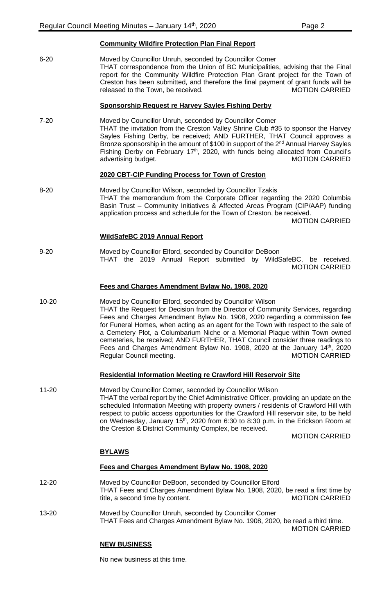| <b>Community Wildfire Protection Plan Final Report</b> |  |  |  |
|--------------------------------------------------------|--|--|--|
|                                                        |  |  |  |

6-20 Moved by Councillor Unruh, seconded by Councillor Comer THAT correspondence from the Union of BC Municipalities, advising that the Final report for the Community Wildfire Protection Plan Grant project for the Town of Creston has been submitted, and therefore the final payment of grant funds will be released to the Town, be received. The matrix of the MOTION CARRIED

## **Sponsorship Request re Harvey Sayles Fishing Derby**

7-20 Moved by Councillor Unruh, seconded by Councillor Comer THAT the invitation from the Creston Valley Shrine Club #35 to sponsor the Harvey Sayles Fishing Derby, be received; AND FURTHER, THAT Council approves a Bronze sponsorship in the amount of \$100 in support of the 2<sup>nd</sup> Annual Harvey Sayles Fishing Derby on February 17<sup>th</sup>, 2020, with funds being allocated from Council's advertising budget. The contract of the contract of the MOTION CARRIED

## **2020 CBT-CIP Funding Process for Town of Creston**

8-20 Moved by Councillor Wilson, seconded by Councillor Tzakis THAT the memorandum from the Corporate Officer regarding the 2020 Columbia Basin Trust – Community Initiatives & Affected Areas Program (CIP/AAP) funding application process and schedule for the Town of Creston, be received.

MOTION CARRIED

#### **WildSafeBC 2019 Annual Report**

9-20 Moved by Councillor Elford, seconded by Councillor DeBoon THAT the 2019 Annual Report submitted by WildSafeBC, be received. MOTION CARRIED

### **Fees and Charges Amendment Bylaw No. 1908, 2020**

10-20 Moved by Councillor Elford, seconded by Councillor Wilson THAT the Request for Decision from the Director of Community Services, regarding Fees and Charges Amendment Bylaw No. 1908, 2020 regarding a commission fee for Funeral Homes, when acting as an agent for the Town with respect to the sale of a Cemetery Plot, a Columbarium Niche or a Memorial Plaque within Town owned cemeteries, be received; AND FURTHER, THAT Council consider three readings to Fees and Charges Amendment Bylaw No. 1908, 2020 at the January 14th, 2020 Regular Council meeting. The same of the MOTION CARRIED

## **Residential Information Meeting re Crawford Hill Reservoir Site**

11-20 Moved by Councillor Comer, seconded by Councillor Wilson THAT the verbal report by the Chief Administrative Officer, providing an update on the scheduled Information Meeting with property owners / residents of Crawford Hill with respect to public access opportunities for the Crawford Hill reservoir site, to be held on Wednesday, January 15<sup>th</sup>, 2020 from 6:30 to 8:30 p.m. in the Erickson Room at the Creston & District Community Complex, be received.

MOTION CARRIED

## **BYLAWS**

#### **Fees and Charges Amendment Bylaw No. 1908, 2020**

- 12-20 Moved by Councillor DeBoon, seconded by Councillor Elford THAT Fees and Charges Amendment Bylaw No. 1908, 2020, be read a first time by title, a second time by content. The matrix of the MOTION CARRIED
- 13-20 Moved by Councillor Unruh, seconded by Councillor Comer THAT Fees and Charges Amendment Bylaw No. 1908, 2020, be read a third time. MOTION CARRIED

## **NEW BUSINESS**

No new business at this time.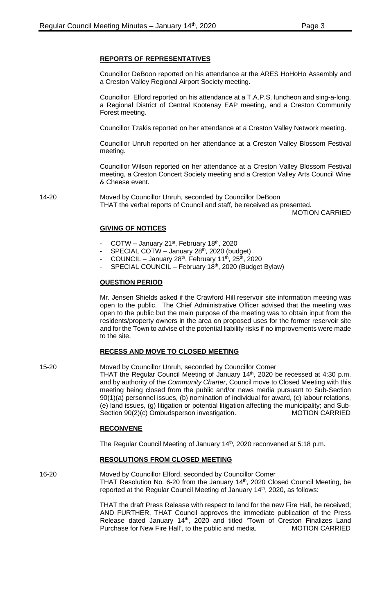## **REPORTS OF REPRESENTATIVES**

Councillor DeBoon reported on his attendance at the ARES HoHoHo Assembly and a Creston Valley Regional Airport Society meeting.

Councillor Elford reported on his attendance at a T.A.P.S. luncheon and sing-a-long, a Regional District of Central Kootenay EAP meeting, and a Creston Community Forest meeting.

Councillor Tzakis reported on her attendance at a Creston Valley Network meeting.

Councillor Unruh reported on her attendance at a Creston Valley Blossom Festival meeting.

Councillor Wilson reported on her attendance at a Creston Valley Blossom Festival meeting, a Creston Concert Society meeting and a Creston Valley Arts Council Wine & Cheese event.

14-20 Moved by Councillor Unruh, seconded by Councillor DeBoon THAT the verbal reports of Council and staff, be received as presented.

MOTION CARRIED

## **GIVING OF NOTICES**

- COTW January 21 $\mathrm{st}$ , February 18 $\mathrm{th}$ , 2020
- SPECIAL COTW January  $28<sup>th</sup>$ , 2020 (budget)
- COUNCIL January  $28<sup>th</sup>$ , February 11<sup>th</sup>, 25<sup>th</sup>, 2020
- SPECIAL COUNCIL February 18th, 2020 (Budget Bylaw)

## **QUESTION PERIOD**

Mr. Jensen Shields asked if the Crawford Hill reservoir site information meeting was open to the public. The Chief Administrative Officer advised that the meeting was open to the public but the main purpose of the meeting was to obtain input from the residents/property owners in the area on proposed uses for the former reservoir site and for the Town to advise of the potential liability risks if no improvements were made to the site.

## **RECESS AND MOVE TO CLOSED MEETING**

15-20 Moved by Councillor Unruh, seconded by Councillor Comer THAT the Regular Council Meeting of January 14<sup>th</sup>, 2020 be recessed at 4:30 p.m. and by authority of the *Community Charter*, Council move to Closed Meeting with this meeting being closed from the public and/or news media pursuant to Sub-Section

90(1)(a) personnel issues, (b) nomination of individual for award, (c) labour relations, (e) land issues, (g) litigation or potential litigation affecting the municipality; and Sub-Section 90(2)(c) Ombudsperson investigation. MOTION CARRIED

## **RECONVENE**

The Regular Council Meeting of January 14<sup>th</sup>, 2020 reconvened at 5:18 p.m.

## **RESOLUTIONS FROM CLOSED MEETING**

16-20 Moved by Councillor Elford, seconded by Councillor Comer THAT Resolution No. 6-20 from the January 14<sup>th</sup>, 2020 Closed Council Meeting, be reported at the Regular Council Meeting of January 14<sup>th</sup>, 2020, as follows:

> THAT the draft Press Release with respect to land for the new Fire Hall, be received; AND FURTHER, THAT Council approves the immediate publication of the Press Release dated January 14<sup>th</sup>, 2020 and titled 'Town of Creston Finalizes Land Purchase for New Fire Hall', to the public and media. MOTION CARRIED